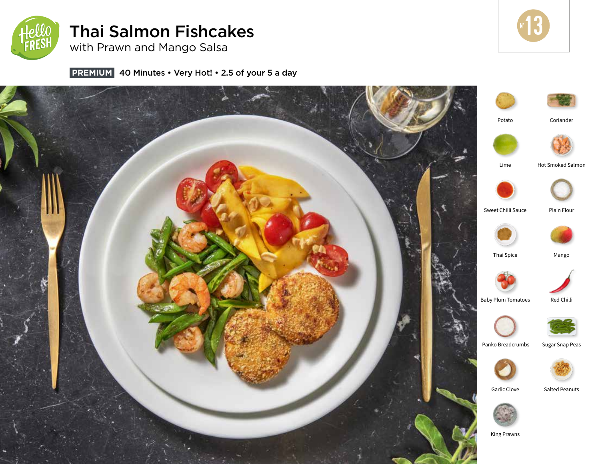

# Thai Salmon Fishcakes



with Prawn and Mango Salsa

**PREMIUM** 40 Minutes • Very Hot! • 2.5 of your 5 a day